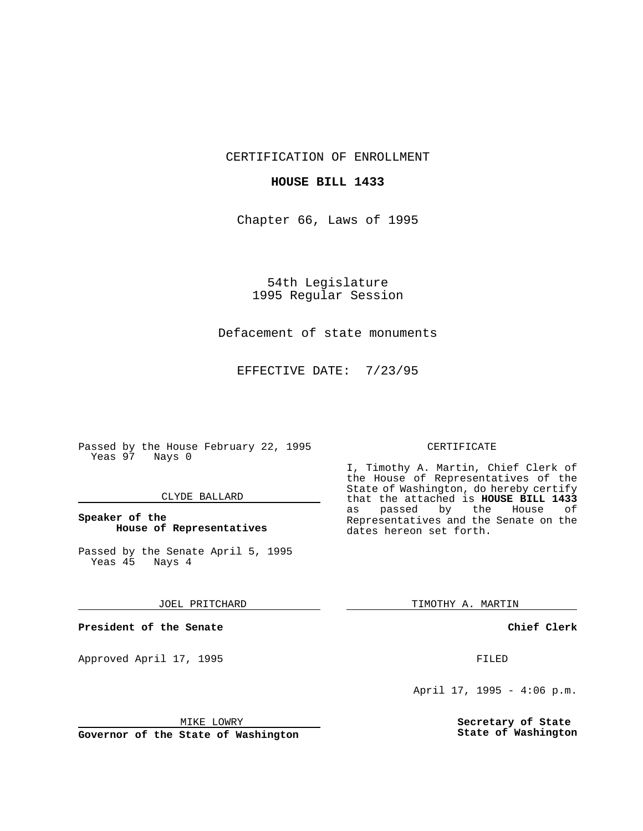CERTIFICATION OF ENROLLMENT

## **HOUSE BILL 1433**

Chapter 66, Laws of 1995

54th Legislature 1995 Regular Session

# Defacement of state monuments

EFFECTIVE DATE: 7/23/95

Passed by the House February 22, 1995 Yeas 97 Nays 0

### CLYDE BALLARD

# **Speaker of the House of Representatives**

Passed by the Senate April 5, 1995<br>Yeas 45 Nays 4 Yeas 45

#### JOEL PRITCHARD

**President of the Senate**

Approved April 17, 1995 FILED

# MIKE LOWRY

**Governor of the State of Washington**

#### CERTIFICATE

I, Timothy A. Martin, Chief Clerk of the House of Representatives of the State of Washington, do hereby certify that the attached is **HOUSE BILL 1433** as passed by the House of Representatives and the Senate on the dates hereon set forth.

TIMOTHY A. MARTIN

### **Chief Clerk**

April 17, 1995 - 4:06 p.m.

**Secretary of State State of Washington**